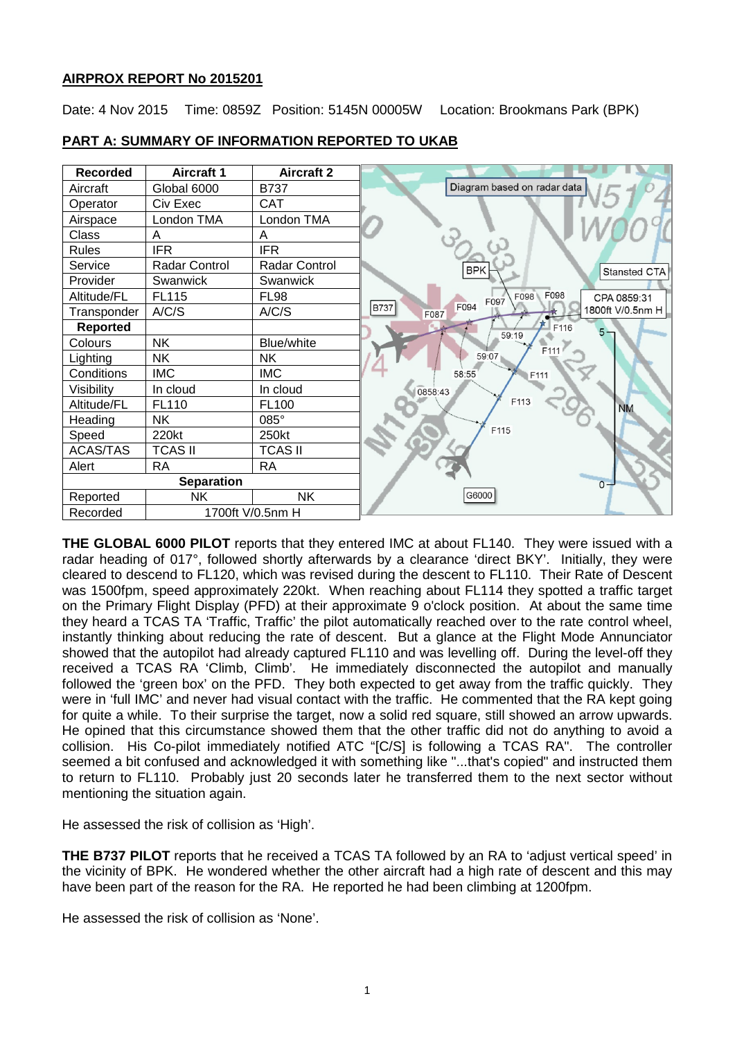# **AIRPROX REPORT No 2015201**

Date: 4 Nov 2015 Time: 0859Z Position: 5145N 00005W Location: Brookmans Park (BPK)



**PART A: SUMMARY OF INFORMATION REPORTED TO UKAB**

**THE GLOBAL 6000 PILOT** reports that they entered IMC at about FL140. They were issued with a radar heading of 017°, followed shortly afterwards by a clearance 'direct BKY'. Initially, they were cleared to descend to FL120, which was revised during the descent to FL110. Their Rate of Descent was 1500fpm, speed approximately 220kt. When reaching about FL114 they spotted a traffic target on the Primary Flight Display (PFD) at their approximate 9 o'clock position. At about the same time they heard a TCAS TA 'Traffic, Traffic' the pilot automatically reached over to the rate control wheel, instantly thinking about reducing the rate of descent. But a glance at the Flight Mode Annunciator showed that the autopilot had already captured FL110 and was levelling off. During the level-off they received a TCAS RA 'Climb, Climb'. He immediately disconnected the autopilot and manually followed the 'green box' on the PFD. They both expected to get away from the traffic quickly. They were in 'full IMC' and never had visual contact with the traffic. He commented that the RA kept going for quite a while. To their surprise the target, now a solid red square, still showed an arrow upwards. He opined that this circumstance showed them that the other traffic did not do anything to avoid a collision. His Co-pilot immediately notified ATC "[C/S] is following a TCAS RA". The controller seemed a bit confused and acknowledged it with something like "...that's copied" and instructed them to return to FL110. Probably just 20 seconds later he transferred them to the next sector without mentioning the situation again.

He assessed the risk of collision as 'High'.

**THE B737 PILOT** reports that he received a TCAS TA followed by an RA to 'adjust vertical speed' in the vicinity of BPK. He wondered whether the other aircraft had a high rate of descent and this may have been part of the reason for the RA. He reported he had been climbing at 1200fpm.

He assessed the risk of collision as 'None'.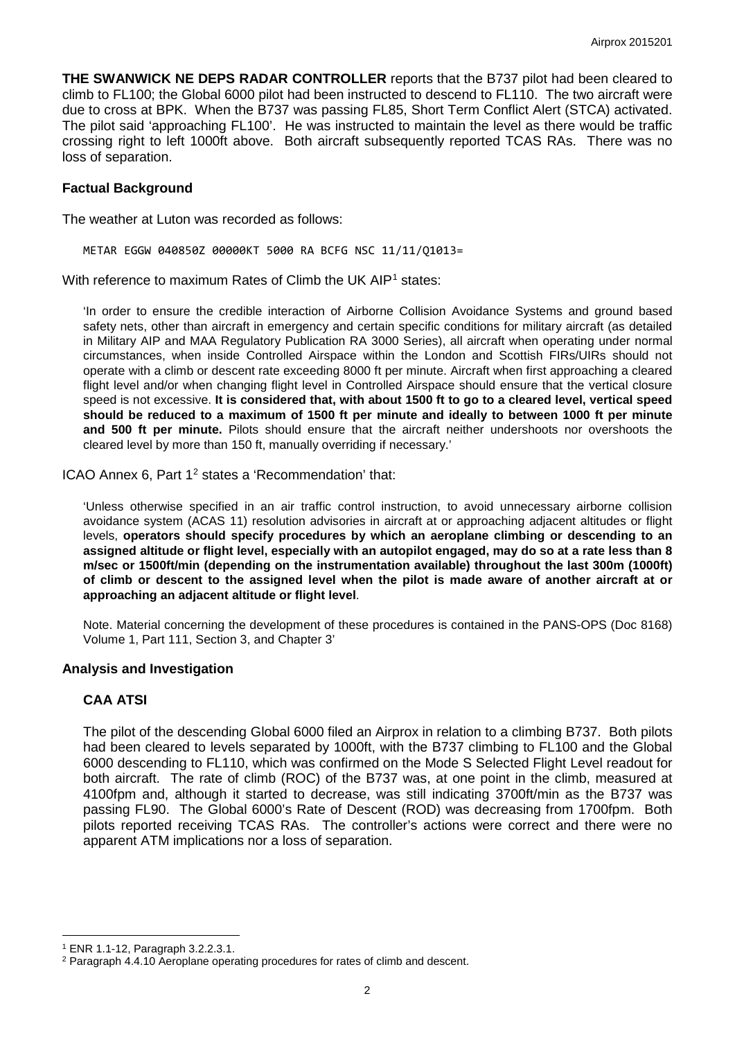**THE SWANWICK NE DEPS RADAR CONTROLLER** reports that the B737 pilot had been cleared to climb to FL100; the Global 6000 pilot had been instructed to descend to FL110. The two aircraft were due to cross at BPK. When the B737 was passing FL85, Short Term Conflict Alert (STCA) activated. The pilot said 'approaching FL100'. He was instructed to maintain the level as there would be traffic crossing right to left 1000ft above. Both aircraft subsequently reported TCAS RAs. There was no loss of separation.

## **Factual Background**

The weather at Luton was recorded as follows:

METAR EGGW 040850Z 00000KT 5000 RA BCFG NSC 11/11/Q1013=

With reference to maximum Rates of Climb the UK AIP<sup>[1](#page-1-0)</sup> states:

'In order to ensure the credible interaction of Airborne Collision Avoidance Systems and ground based safety nets, other than aircraft in emergency and certain specific conditions for military aircraft (as detailed in Military AIP and MAA Regulatory Publication RA 3000 Series), all aircraft when operating under normal circumstances, when inside Controlled Airspace within the London and Scottish FIRs/UIRs should not operate with a climb or descent rate exceeding 8000 ft per minute. Aircraft when first approaching a cleared flight level and/or when changing flight level in Controlled Airspace should ensure that the vertical closure speed is not excessive. **It is considered that, with about 1500 ft to go to a cleared level, vertical speed should be reduced to a maximum of 1500 ft per minute and ideally to between 1000 ft per minute and 500 ft per minute.** Pilots should ensure that the aircraft neither undershoots nor overshoots the cleared level by more than 150 ft, manually overriding if necessary.'

ICAO Annex 6, Part 1<sup>[2](#page-1-1)</sup> states a 'Recommendation' that:

'Unless otherwise specified in an air traffic control instruction, to avoid unnecessary airborne collision avoidance system (ACAS 11) resolution advisories in aircraft at or approaching adjacent altitudes or flight levels, **operators should specify procedures by which an aeroplane climbing or descending to an assigned altitude or flight level, especially with an autopilot engaged, may do so at a rate less than 8 m/sec or 1500ft/min (depending on the instrumentation available) throughout the last 300m (1000ft) of climb or descent to the assigned level when the pilot is made aware of another aircraft at or approaching an adjacent altitude or flight level**.

Note. Material concerning the development of these procedures is contained in the PANS-OPS (Doc 8168) Volume 1, Part 111, Section 3, and Chapter 3'

### **Analysis and Investigation**

### **CAA ATSI**

The pilot of the descending Global 6000 filed an Airprox in relation to a climbing B737. Both pilots had been cleared to levels separated by 1000ft, with the B737 climbing to FL100 and the Global 6000 descending to FL110, which was confirmed on the Mode S Selected Flight Level readout for both aircraft. The rate of climb (ROC) of the B737 was, at one point in the climb, measured at 4100fpm and, although it started to decrease, was still indicating 3700ft/min as the B737 was passing FL90. The Global 6000's Rate of Descent (ROD) was decreasing from 1700fpm. Both pilots reported receiving TCAS RAs. The controller's actions were correct and there were no apparent ATM implications nor a loss of separation.

l

<span id="page-1-0"></span><sup>1</sup> ENR 1.1-12, Paragraph 3.2.2.3.1.

<span id="page-1-1"></span><sup>2</sup> Paragraph 4.4.10 Aeroplane operating procedures for rates of climb and descent.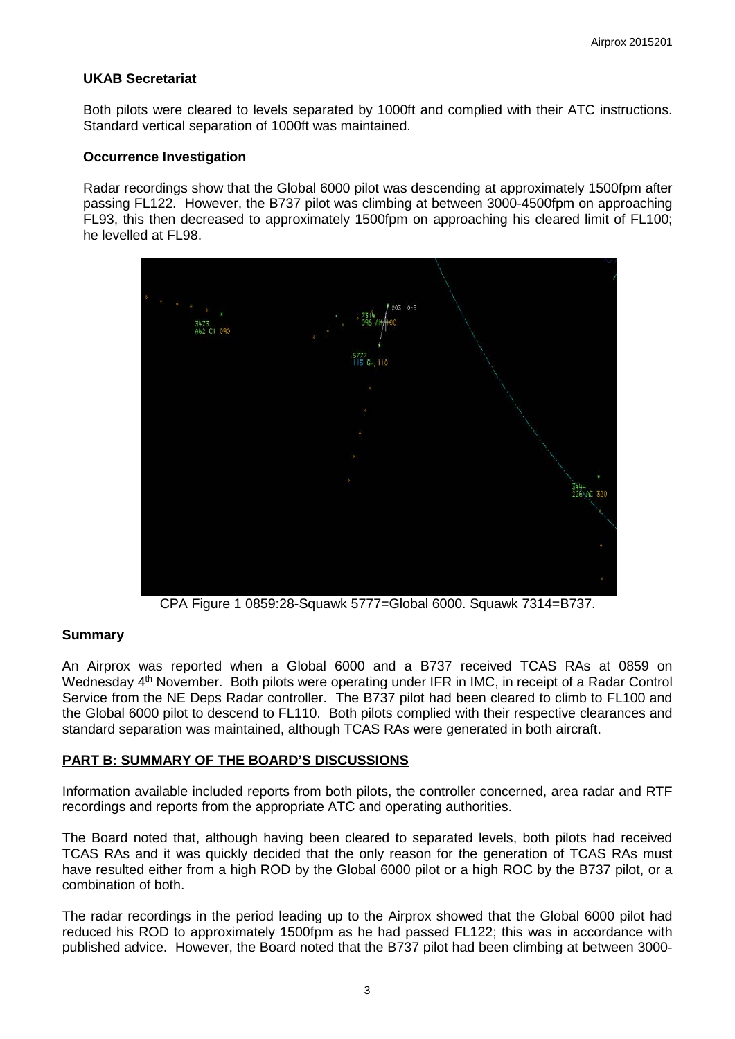## **UKAB Secretariat**

Both pilots were cleared to levels separated by 1000ft and complied with their ATC instructions. Standard vertical separation of 1000ft was maintained.

### **Occurrence Investigation**

Radar recordings show that the Global 6000 pilot was descending at approximately 1500fpm after passing FL122. However, the B737 pilot was climbing at between 3000-4500fpm on approaching FL93, this then decreased to approximately 1500fpm on approaching his cleared limit of FL100; he levelled at FL98.



CPA Figure 1 0859:28-Squawk 5777=Global 6000. Squawk 7314=B737.

### **Summary**

An Airprox was reported when a Global 6000 and a B737 received TCAS RAs at 0859 on Wednesday 4<sup>th</sup> November. Both pilots were operating under IFR in IMC, in receipt of a Radar Control Service from the NE Deps Radar controller. The B737 pilot had been cleared to climb to FL100 and the Global 6000 pilot to descend to FL110. Both pilots complied with their respective clearances and standard separation was maintained, although TCAS RAs were generated in both aircraft.

### **PART B: SUMMARY OF THE BOARD'S DISCUSSIONS**

Information available included reports from both pilots, the controller concerned, area radar and RTF recordings and reports from the appropriate ATC and operating authorities.

The Board noted that, although having been cleared to separated levels, both pilots had received TCAS RAs and it was quickly decided that the only reason for the generation of TCAS RAs must have resulted either from a high ROD by the Global 6000 pilot or a high ROC by the B737 pilot, or a combination of both.

The radar recordings in the period leading up to the Airprox showed that the Global 6000 pilot had reduced his ROD to approximately 1500fpm as he had passed FL122; this was in accordance with published advice. However, the Board noted that the B737 pilot had been climbing at between 3000